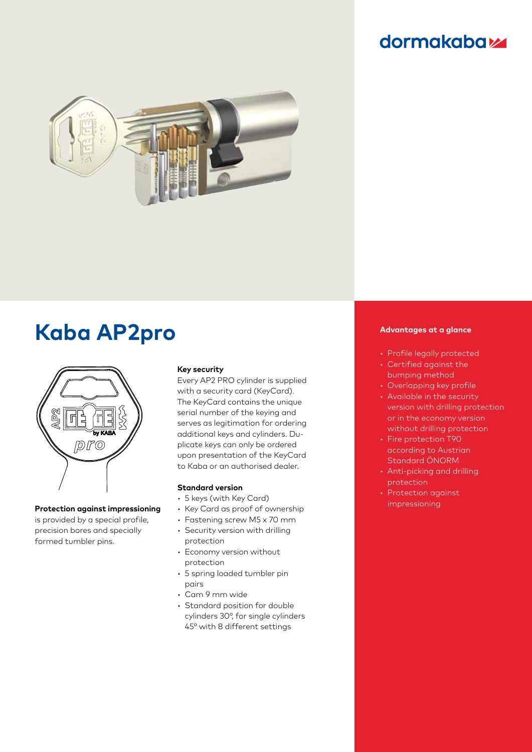# **dormakabazz**



# **Kaba AP2pro Advantages at a glance**



### **Protection against impressioning**

is provided by a special profile, precision bores and specially formed tumbler pins.

### **Key security**

Every AP2 PRO cylinder is supplied with a security card (KeyCard). The KeyCard contains the unique serial number of the keying and serves as legitimation for ordering additional keys and cylinders. Duplicate keys can only be ordered upon presentation of the KeyCard to Kaba or an authorised dealer.

### **Standard version**

- 5 keys (with Key Card)
- Key Card as proof of ownership
- Fastening screw M5 x 70 mm
- Security version with drilling protection
- Economy version without protection
- 5 spring loaded tumbler pin pairs
- Cam 9 mm wide
- Standard position for double cylinders 30°, for single cylinders 45° with 8 different settings

- Profile legally protected
- Certified against the bumping method
- Overlapping key profile
- Available in the security version with drilling protection or in the economy version without drilling protection
- Fire protection T90 according to Austrian Standard ÖNORM
- Anti-picking and drilling protection
- Protection against impressioning